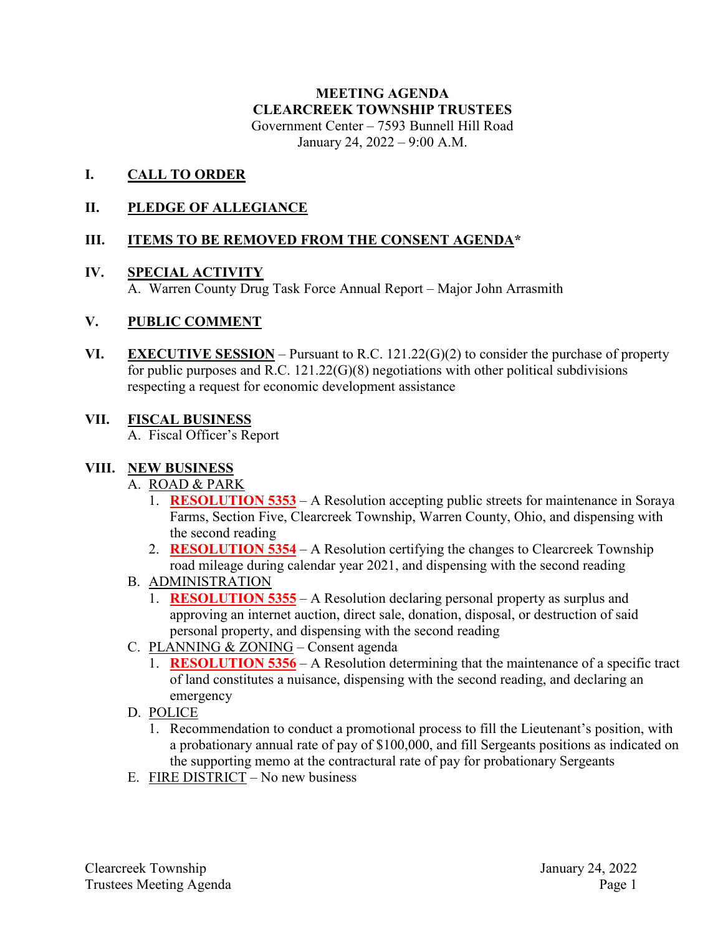# **MEETING AGENDA CLEARCREEK TOWNSHIP TRUSTEES** Government Center – 7593 Bunnell Hill Road

January 24, 2022 – 9:00 A.M.

### **I. CALL TO ORDER**

### **II. PLEDGE OF ALLEGIANCE**

### **III. ITEMS TO BE REMOVED FROM THE CONSENT AGENDA\***

#### **IV. SPECIAL ACTIVITY**

A. Warren County Drug Task Force Annual Report – Major John Arrasmith

#### **V. PUBLIC COMMENT**

**VI. EXECUTIVE SESSION** – Pursuant to R.C. 121.22(G)(2) to consider the purchase of property for public purposes and R.C. 121.22(G)(8) negotiations with other political subdivisions respecting a request for economic development assistance

#### **VII. FISCAL BUSINESS**

A. Fiscal Officer's Report

#### **VIII. NEW BUSINESS**

#### A. ROAD & PARK

- 1. **RESOLUTION 5353** A Resolution accepting public streets for maintenance in Soraya Farms, Section Five, Clearcreek Township, Warren County, Ohio, and dispensing with the second reading
- 2. **RESOLUTION 5354** A Resolution certifying the changes to Clearcreek Township road mileage during calendar year 2021, and dispensing with the second reading
- B. ADMINISTRATION
	- 1. **RESOLUTION 5355** A Resolution declaring personal property as surplus and approving an internet auction, direct sale, donation, disposal, or destruction of said personal property, and dispensing with the second reading
- C. PLANNING & ZONING Consent agenda
	- 1. **RESOLUTION 5356** A Resolution determining that the maintenance of a specific tract of land constitutes a nuisance, dispensing with the second reading, and declaring an emergency
- D. POLICE
	- 1. Recommendation to conduct a promotional process to fill the Lieutenant's position, with a probationary annual rate of pay of \$100,000, and fill Sergeants positions as indicated on the supporting memo at the contractural rate of pay for probationary Sergeants
- E. FIRE DISTRICT No new business